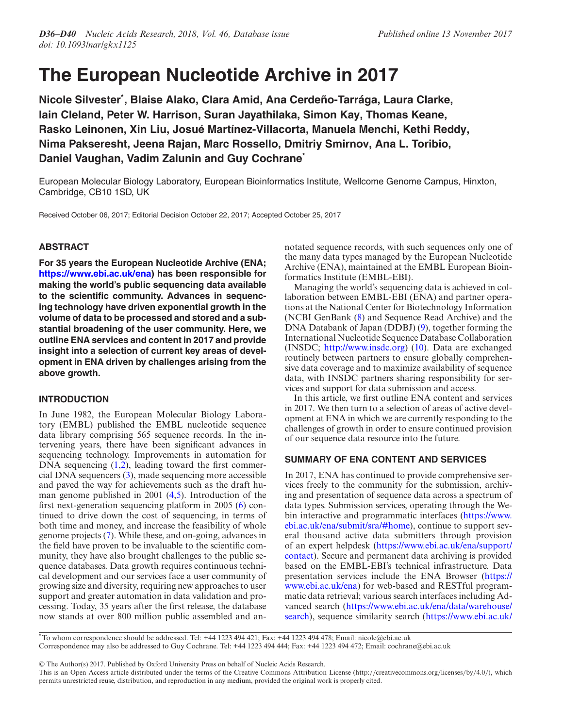# **The European Nucleotide Archive in 2017**

**Nicole Silvester\* , Blaise Alako, Clara Amid, Ana Cerdeno-Tarr ˜ aga, Laura Clarke, ´ Iain Cleland, Peter W. Harrison, Suran Jayathilaka, Simon Kay, Thomas Keane, Rasko Leinonen, Xin Liu, Josue Mart ´ ´ınez-Villacorta, Manuela Menchi, Kethi Reddy, Nima Pakseresht, Jeena Rajan, Marc Rossello, Dmitriy Smirnov, Ana L. Toribio, Daniel Vaughan, Vadim Zalunin and Guy Cochrane\***

European Molecular Biology Laboratory, European Bioinformatics Institute, Wellcome Genome Campus, Hinxton, Cambridge, CB10 1SD, UK

Received October 06, 2017; Editorial Decision October 22, 2017; Accepted October 25, 2017

# **ABSTRACT**

**For 35 years the European Nucleotide Archive (ENA; [https://www.ebi.ac.uk/ena\)](https://www.ebi.ac.uk/ena) has been responsible for making the world's public sequencing data available to the scientific community. Advances in sequencing technology have driven exponential growth in the volume of data to be processed and stored and a substantial broadening of the user community. Here, we outline ENA services and content in 2017 and provide insight into a selection of current key areas of development in ENA driven by challenges arising from the above growth.**

# **INTRODUCTION**

In June 1982, the European Molecular Biology Laboratory (EMBL) published the EMBL nucleotide sequence data library comprising 565 sequence records. In the intervening years, there have been significant advances in sequencing technology. Improvements in automation for DNA sequencing  $(1,2)$ , leading toward the first commercial DNA sequencers [\(3\)](#page-4-0), made sequencing more accessible and paved the way for achievements such as the draft human genome published in 2001 [\(4,5\)](#page-4-0). Introduction of the first next-generation sequencing platform in 2005 [\(6\)](#page-4-0) continued to drive down the cost of sequencing, in terms of both time and money, and increase the feasibility of whole genome projects [\(7\)](#page-4-0). While these, and on-going, advances in the field have proven to be invaluable to the scientific community, they have also brought challenges to the public sequence databases. Data growth requires continuous technical development and our services face a user community of growing size and diversity, requiring new approaches to user support and greater automation in data validation and processing. Today, 35 years after the first release, the database now stands at over 800 million public assembled and annotated sequence records, with such sequences only one of the many data types managed by the European Nucleotide Archive (ENA), maintained at the EMBL European Bioinformatics Institute (EMBL-EBI).

Managing the world's sequencing data is achieved in collaboration between EMBL-EBI (ENA) and partner operations at the National Center for Biotechnology Information (NCBI GenBank [\(8\)](#page-4-0) and Sequence Read Archive) and the DNA Databank of Japan (DDBJ) [\(9\)](#page-4-0), together forming the International Nucleotide Sequence Database Collaboration (INSDC; [http://www.insdc.org\)](http://www.insdc.org) [\(10\)](#page-4-0). Data are exchanged routinely between partners to ensure globally comprehensive data coverage and to maximize availability of sequence data, with INSDC partners sharing responsibility for services and support for data submission and access.

In this article, we first outline ENA content and services in 2017. We then turn to a selection of areas of active development at ENA in which we are currently responding to the challenges of growth in order to ensure continued provision of our sequence data resource into the future.

# **SUMMARY OF ENA CONTENT AND SERVICES**

In 2017, ENA has continued to provide comprehensive services freely to the community for the submission, archiving and presentation of sequence data across a spectrum of data types. Submission services, operating through the We[bin interactive and programmatic interfaces \(https://www.](https://www.ebi.ac.uk/ena/submit/sra/#home) ebi.ac.uk/ena/submit/sra/#home), continue to support several thousand active data submitters through provision [of an expert helpdesk \(https://www.ebi.ac.uk/ena/support/](https://www.ebi.ac.uk/ena/support/contact) contact). Secure and permanent data archiving is provided based on the EMBL-EBI's technical infrastructure. Data [presentation services include the ENA Browser \(https://](https://www.ebi.ac.uk/ena) www.ebi.ac.uk/ena) for web-based and RESTful programmatic data retrieval; various search interfaces including Advanced search (https://www.ebi.ac.uk/ena/data/warehouse/ [search\), sequence similarity search \(https://www.ebi.ac.uk/](https://www.ebi.ac.uk/ena/data/warehouse/search)

\*To whom correspondence should be addressed. Tel: +44 1223 494 421; Fax: +44 1223 494 478; Email: nicole@ebi.ac.uk Correspondence may also be addressed to Guy Cochrane. Tel: +44 1223 494 444; Fax: +44 1223 494 472; Email: cochrane@ebi.ac.uk

-<sup>C</sup> The Author(s) 2017. Published by Oxford University Press on behalf of Nucleic Acids Research.

This is an Open Access article distributed under the terms of the Creative Commons Attribution License (http://creativecommons.org/licenses/by/4.0/), which permits unrestricted reuse, distribution, and reproduction in any medium, provided the original work is properly cited.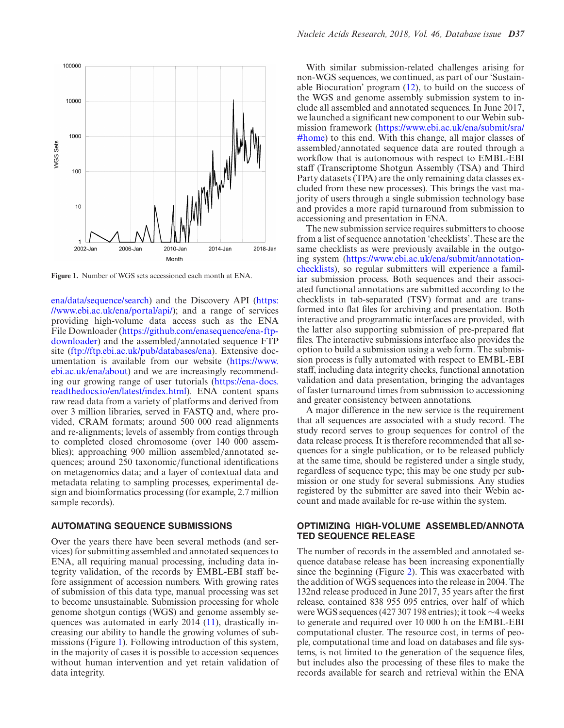

**Figure 1.** Number of WGS sets accessioned each month at ENA.

[ena/data/sequence/search](https://www.ebi.ac.uk/ena/data/sequence/search)[\) and the Discovery API \(https:](https://www.ebi.ac.uk/ena/portal/api/) //www.ebi.ac.uk/ena/portal/api/); and a range of services providing high-volume data access such as the ENA [File Downloader \(https://github.com/enasequence/ena-ftp](https://github.com/enasequence/ena-ftp-downloader)downloader) and the assembled/annotated sequence FTP site [\(ftp://ftp.ebi.ac.uk/pub/databases/ena\)](ftp://ftp.ebi.ac.uk/pub/databases/ena). Extensive doc[umentation is available from our website \(https://www.](https://www.ebi.ac.uk/ena/about) ebi.ac.uk/ena/about) and we are increasingly recommend[ing our growing range of user tutorials \(https://ena-docs.](https://ena-docs.readthedocs.io/en/latest/index.html) readthedocs.io/en/latest/index.html). ENA content spans raw read data from a variety of platforms and derived from over 3 million libraries, served in FASTQ and, where provided, CRAM formats; around 500 000 read alignments and re-alignments; levels of assembly from contigs through to completed closed chromosome (over 140 000 assemblies); approaching 900 million assembled/annotated sequences; around 250 taxonomic/functional identifications on metagenomics data; and a layer of contextual data and metadata relating to sampling processes, experimental design and bioinformatics processing (for example, 2.7 million sample records).

# **AUTOMATING SEQUENCE SUBMISSIONS**

Over the years there have been several methods (and services) for submitting assembled and annotated sequences to ENA, all requiring manual processing, including data integrity validation, of the records by EMBL-EBI staff before assignment of accession numbers. With growing rates of submission of this data type, manual processing was set to become unsustainable. Submission processing for whole genome shotgun contigs (WGS) and genome assembly sequences was automated in early 2014 [\(11\)](#page-4-0), drastically increasing our ability to handle the growing volumes of submissions (Figure 1). Following introduction of this system, in the majority of cases it is possible to accession sequences without human intervention and yet retain validation of data integrity.

With similar submission-related challenges arising for non-WGS sequences, we continued, as part of our 'Sustainable Biocuration' program [\(12\)](#page-4-0), to build on the success of the WGS and genome assembly submission system to include all assembled and annotated sequences. In June 2017, we launched a significant new component to our Webin submission framework (https://www.ebi.ac.uk/ena/submit/sra/ [#home\) to this end. With this change, all major classes of](https://www.ebi.ac.uk/ena/submit/sra/#home) assembled/annotated sequence data are routed through a workflow that is autonomous with respect to EMBL-EBI staff (Transcriptome Shotgun Assembly (TSA) and Third Party datasets (TPA) are the only remaining data classes excluded from these new processes). This brings the vast majority of users through a single submission technology base and provides a more rapid turnaround from submission to accessioning and presentation in ENA.

The new submission service requires submitters to choose from a list of sequence annotation 'checklists'. These are the same checklists as were previously available in the outgoing system (https://www.ebi.ac.uk/ena/submit/annotation[checklists\), so regular submitters will experience a famil](https://www.ebi.ac.uk/ena/submit/annotation-checklists)iar submission process. Both sequences and their associated functional annotations are submitted according to the checklists in tab-separated (TSV) format and are transformed into flat files for archiving and presentation. Both interactive and programmatic interfaces are provided, with the latter also supporting submission of pre-prepared flat files. The interactive submissions interface also provides the option to build a submission using a web form. The submission process is fully automated with respect to EMBL-EBI staff, including data integrity checks, functional annotation validation and data presentation, bringing the advantages of faster turnaround times from submission to accessioning and greater consistency between annotations.

A major difference in the new service is the requirement that all sequences are associated with a study record. The study record serves to group sequences for control of the data release process. It is therefore recommended that all sequences for a single publication, or to be released publicly at the same time, should be registered under a single study, regardless of sequence type; this may be one study per submission or one study for several submissions. Any studies registered by the submitter are saved into their Webin account and made available for re-use within the system.

# **OPTIMIZING HIGH-VOLUME ASSEMBLED/ANNOTA TED SEQUENCE RELEASE**

The number of records in the assembled and annotated sequence database release has been increasing exponentially since the beginning (Figure [2\)](#page-2-0). This was exacerbated with the addition of WGS sequences into the release in 2004. The 132nd release produced in June 2017, 35 years after the first release, contained 838 955 095 entries, over half of which were WGS sequences (427 307 198 entries); it took ∼4 weeks to generate and required over 10 000 h on the EMBL-EBI computational cluster. The resource cost, in terms of people, computational time and load on databases and file systems, is not limited to the generation of the sequence files, but includes also the processing of these files to make the records available for search and retrieval within the ENA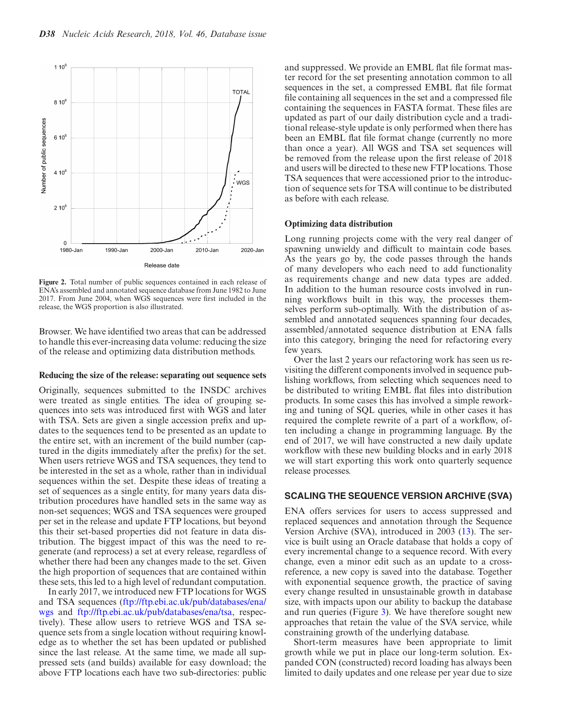<span id="page-2-0"></span>

**Figure 2.** Total number of public sequences contained in each release of ENA's assembled and annotated sequence database from June 1982 to June 2017. From June 2004, when WGS sequences were first included in the release, the WGS proportion is also illustrated.

Browser. We have identified two areas that can be addressed to handle this ever-increasing data volume: reducing the size of the release and optimizing data distribution methods.

## **Reducing the size of the release: separating out sequence sets**

Originally, sequences submitted to the INSDC archives were treated as single entities. The idea of grouping sequences into sets was introduced first with WGS and later with TSA. Sets are given a single accession prefix and updates to the sequences tend to be presented as an update to the entire set, with an increment of the build number (captured in the digits immediately after the prefix) for the set. When users retrieve WGS and TSA sequences, they tend to be interested in the set as a whole, rather than in individual sequences within the set. Despite these ideas of treating a set of sequences as a single entity, for many years data distribution procedures have handled sets in the same way as non-set sequences; WGS and TSA sequences were grouped per set in the release and update FTP locations, but beyond this their set-based properties did not feature in data distribution. The biggest impact of this was the need to regenerate (and reprocess) a set at every release, regardless of whether there had been any changes made to the set. Given the high proportion of sequences that are contained within these sets, this led to a high level of redundant computation.

In early 2017, we introduced new FTP locations for WGS [and TSA sequences \(ftp://ftp.ebi.ac.uk/pub/databases/ena/](ftp://ftp.ebi.ac.uk/pub/databases/ena/wgs) wgs and [ftp://ftp.ebi.ac.uk/pub/databases/ena/tsa,](ftp://ftp.ebi.ac.uk/pub/databases/ena/tsa) respectively). These allow users to retrieve WGS and TSA sequence sets from a single location without requiring knowledge as to whether the set has been updated or published since the last release. At the same time, we made all suppressed sets (and builds) available for easy download; the above FTP locations each have two sub-directories: public

and suppressed. We provide an EMBL flat file format master record for the set presenting annotation common to all sequences in the set, a compressed EMBL flat file format file containing all sequences in the set and a compressed file containing the sequences in FASTA format. These files are updated as part of our daily distribution cycle and a traditional release-style update is only performed when there has been an EMBL flat file format change (currently no more than once a year). All WGS and TSA set sequences will be removed from the release upon the first release of 2018 and users will be directed to these new FTP locations. Those TSA sequences that were accessioned prior to the introduction of sequence sets for TSA will continue to be distributed as before with each release.

#### **Optimizing data distribution**

Long running projects come with the very real danger of spawning unwieldy and difficult to maintain code bases. As the years go by, the code passes through the hands of many developers who each need to add functionality as requirements change and new data types are added. In addition to the human resource costs involved in running workflows built in this way, the processes themselves perform sub-optimally. With the distribution of assembled and annotated sequences spanning four decades, assembled/annotated sequence distribution at ENA falls into this category, bringing the need for refactoring every few years.

Over the last 2 years our refactoring work has seen us revisiting the different components involved in sequence publishing workflows, from selecting which sequences need to be distributed to writing EMBL flat files into distribution products. In some cases this has involved a simple reworking and tuning of SQL queries, while in other cases it has required the complete rewrite of a part of a workflow, often including a change in programming language. By the end of 2017, we will have constructed a new daily update workflow with these new building blocks and in early 2018 we will start exporting this work onto quarterly sequence release processes.

## **SCALING THE SEQUENCE VERSION ARCHIVE (SVA)**

ENA offers services for users to access suppressed and replaced sequences and annotation through the Sequence Version Archive (SVA), introduced in 2003 [\(13\)](#page-4-0). The service is built using an Oracle database that holds a copy of every incremental change to a sequence record. With every change, even a minor edit such as an update to a crossreference, a new copy is saved into the database. Together with exponential sequence growth, the practice of saving every change resulted in unsustainable growth in database size, with impacts upon our ability to backup the database and run queries (Figure [3\)](#page-3-0). We have therefore sought new approaches that retain the value of the SVA service, while constraining growth of the underlying database.

Short-term measures have been appropriate to limit growth while we put in place our long-term solution. Expanded CON (constructed) record loading has always been limited to daily updates and one release per year due to size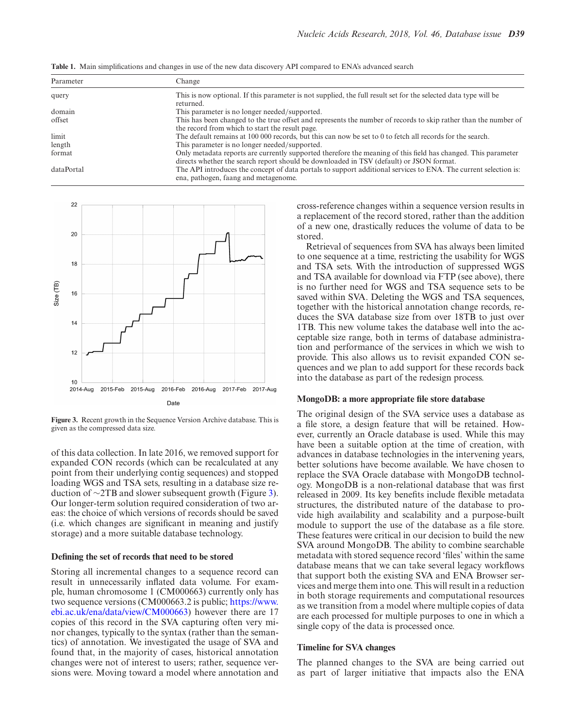| Parameter  | Change                                                                                                                                                                                                   |
|------------|----------------------------------------------------------------------------------------------------------------------------------------------------------------------------------------------------------|
| query      | This is now optional. If this parameter is not supplied, the full result set for the selected data type will be<br>returned.                                                                             |
| domain     | This parameter is no longer needed/supported.                                                                                                                                                            |
| offset     | This has been changed to the true offset and represents the number of records to skip rather than the number of<br>the record from which to start the result page.                                       |
| limit      | The default remains at 100 000 records, but this can now be set to 0 to fetch all records for the search.                                                                                                |
| length     | This parameter is no longer needed/supported.                                                                                                                                                            |
| format     | Only metadata reports are currently supported therefore the meaning of this field has changed. This parameter<br>directs whether the search report should be downloaded in TSV (default) or JSON format. |
| dataPortal | The API introduces the concept of data portals to support additional services to ENA. The current selection is:<br>ena, pathogen, faang and metagenome.                                                  |

<span id="page-3-0"></span>**Table 1.** Main simplifications and changes in use of the new data discovery API compared to ENA's advanced search



**Figure 3.** Recent growth in the Sequence Version Archive database. This is given as the compressed data size.

of this data collection. In late 2016, we removed support for expanded CON records (which can be recalculated at any point from their underlying contig sequences) and stopped loading WGS and TSA sets, resulting in a database size reduction of ∼2TB and slower subsequent growth (Figure 3). Our longer-term solution required consideration of two areas: the choice of which versions of records should be saved (i.e. which changes are significant in meaning and justify storage) and a more suitable database technology.

## **Defining the set of records that need to be stored**

Storing all incremental changes to a sequence record can result in unnecessarily inflated data volume. For example, human chromosome 1 (CM000663) currently only has two sequence versions (CM000663.2 is public; https://www. [ebi.ac.uk/ena/data/view/CM000663\) however there are 17](https://www.ebi.ac.uk/ena/data/view/CM000663) copies of this record in the SVA capturing often very minor changes, typically to the syntax (rather than the semantics) of annotation. We investigated the usage of SVA and found that, in the majority of cases, historical annotation changes were not of interest to users; rather, sequence versions were. Moving toward a model where annotation and cross-reference changes within a sequence version results in a replacement of the record stored, rather than the addition of a new one, drastically reduces the volume of data to be stored.

Retrieval of sequences from SVA has always been limited to one sequence at a time, restricting the usability for WGS and TSA sets. With the introduction of suppressed WGS and TSA available for download via FTP (see above), there is no further need for WGS and TSA sequence sets to be saved within SVA. Deleting the WGS and TSA sequences, together with the historical annotation change records, reduces the SVA database size from over 18TB to just over 1TB. This new volume takes the database well into the acceptable size range, both in terms of database administration and performance of the services in which we wish to provide. This also allows us to revisit expanded CON sequences and we plan to add support for these records back into the database as part of the redesign process.

### **MongoDB: a more appropriate file store database**

The original design of the SVA service uses a database as a file store, a design feature that will be retained. However, currently an Oracle database is used. While this may have been a suitable option at the time of creation, with advances in database technologies in the intervening years, better solutions have become available. We have chosen to replace the SVA Oracle database with MongoDB technology. MongoDB is a non-relational database that was first released in 2009. Its key benefits include flexible metadata structures, the distributed nature of the database to provide high availability and scalability and a purpose-built module to support the use of the database as a file store. These features were critical in our decision to build the new SVA around MongoDB. The ability to combine searchable metadata with stored sequence record 'files' within the same database means that we can take several legacy workflows that support both the existing SVA and ENA Browser services and merge them into one. This will result in a reduction in both storage requirements and computational resources as we transition from a model where multiple copies of data are each processed for multiple purposes to one in which a single copy of the data is processed once.

## **Timeline for SVA changes**

The planned changes to the SVA are being carried out as part of larger initiative that impacts also the ENA